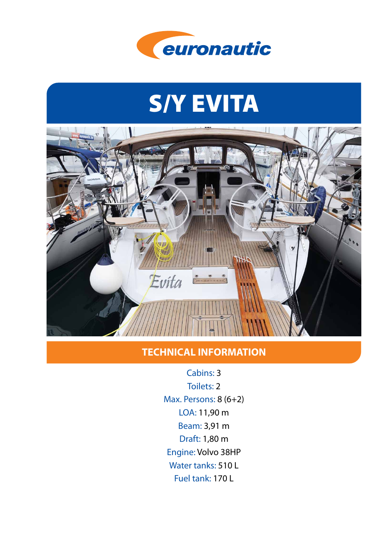

# S/Y EVITA



## **TECHNICAL INFORMATION**

Cabins: 3 Toilets: 2 Max. Persons: 8 (6+2) LOA: 11,90 m Beam: 3,91 m Draft: 1,80 m Engine: Volvo 38HP Water tanks: 510 L Fuel tank: 170 L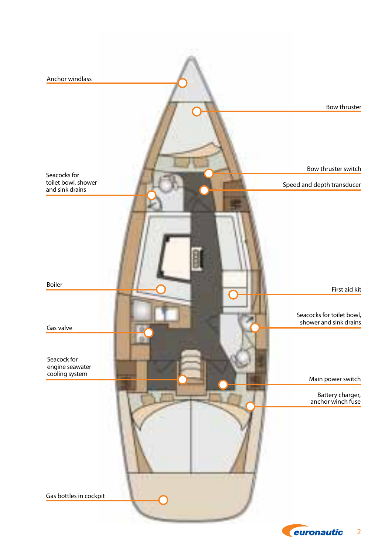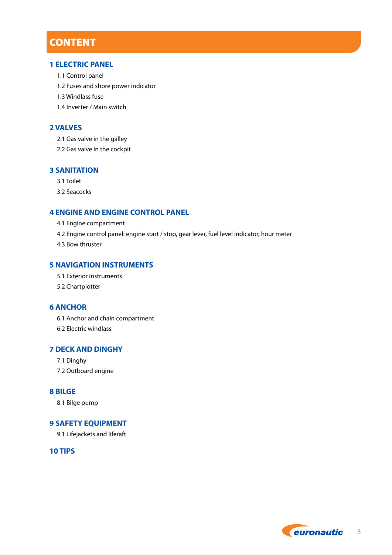## **CONTENT**

#### **1 ELECTRIC PANEL**

- 1.1 Control panel
- 1.2 Fuses and shore power indicator
- 1.3 Windlass fuse
- 1.4 Inverter / Main switch

#### **2 VALVES**

- 2.1 Gas valve in the galley
- 2.2 Gas valve in the cockpit

#### **3 SANITATION**

- 3.1 Toilet
- 3.2 Seacocks

#### **4 ENGINE AND ENGINE CONTROL PANEL**

- 4.1 Engine compartment
- 4.2 Engine control panel: engine start / stop, gear lever, fuel level indicator, hour meter
- 4.3 Bow thruster

#### **5 NAVIGATION INSTRUMENTS**

- 5.1 Exterior instruments
- 5.2 Chartplotter

#### **6 ANCHOR**

- 6.1 Anchor and chain compartment
- 6.2 Electric windlass

#### **7 DECK AND DINGHY**

- 7.1 Dinghy
- 7.2 Outboard engine

#### **8 BILGE**

8.1 Bilge pump

#### **9 SAFETY EQUIPMENT**

9.1 Lifejackets and liferaft

#### **10 TIPS**

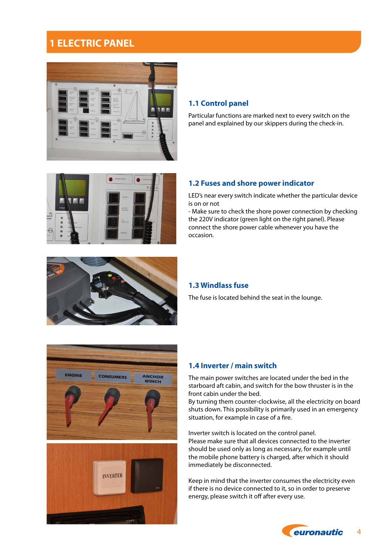## **1 ELECTRIC PANEL**



#### **1.1 Control panel**

Particular functions are marked next to every switch on the panel and explained by our skippers during the check-in.



#### **1.2 Fuses and shore power indicator**

LED's near every switch indicate whether the particular device is on or not

- Make sure to check the shore power connection by checking the 220V indicator (green light on the right panel). Please connect the shore power cable whenever you have the occasion.



#### **1.3 Windlass fuse**

The fuse is located behind the seat in the lounge.





#### **1.4 Inverter / main switch**

The main power switches are located under the bed in the starboard aft cabin, and switch for the bow thruster is in the front cabin under the bed.

By turning them counter-clockwise, all the electricity on board shuts down. This possibility is primarily used in an emergency situation, for example in case of a fire.

Inverter switch is located on the control panel. Please make sure that all devices connected to the inverter should be used only as long as necessary, for example until the mobile phone battery is charged, after which it should immediately be disconnected.

Keep in mind that the inverter consumes the electricity even if there is no device connected to it, so in order to preserve energy, please switch it off after every use.

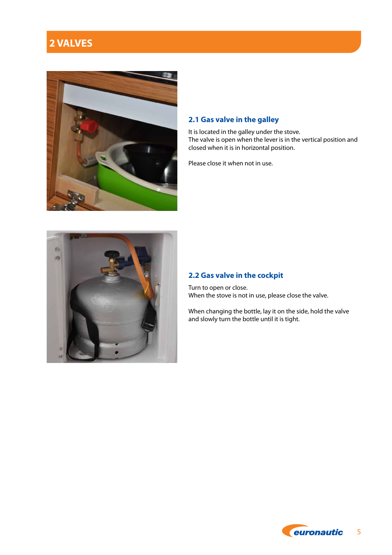## **2 VALVES**



#### **2.1 Gas valve in the galley**

It is located in the galley under the stove. The valve is open when the lever is in the vertical position and closed when it is in horizontal position.

Please close it when not in use.



#### **2.2 Gas valve in the cockpit**

Turn to open or close. When the stove is not in use, please close the valve.

When changing the bottle, lay it on the side, hold the valve and slowly turn the bottle until it is tight.

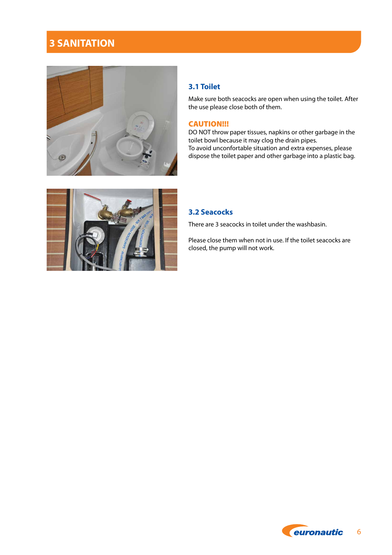## **3 SANITATION**



#### **3.1 Toilet**

Make sure both seacocks are open when using the toilet. After the use please close both of them.

#### CAUTION!!!

DO NOT throw paper tissues, napkins or other garbage in the toilet bowl because it may clog the drain pipes. To avoid unconfortable situation and extra expenses, please dispose the toilet paper and other garbage into a plastic bag.



#### **3.2 Seacocks**

There are 3 seacocks in toilet under the washbasin.

Please close them when not in use. If the toilet seacocks are closed, the pump will not work.

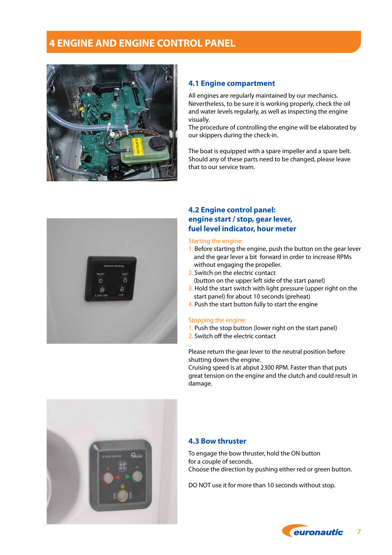## **4 ENGINE AND ENGINE CONTROL PANEL**



#### **4.1 Engine compartment**

All engines are regularly maintained by our mechanics. Nevertheless, to be sure it is working properly, check the oil and water levels regularly, as well as inspecting the engine visually.

The procedure of controlling the engine will be elaborated by our skippers during the check-in.

The boat is equipped with a spare impeller and a spare belt. Should any of these parts need to be changed, please leave that to our service team.



#### **4.2 Engine control panel: engine start / stop, gear lever, fuel level indicator, hour meter**

#### Starting the engine:

- 1. Before starting the engine, push the button on the gear lever and the gear lever a bit forward in order to increase RPMs without engaging the propeller.
- 2. Switch on the electric contact (button on the upper left side of the start panel)
- 3. Hold the start switch with light pressure (upper right on the start panel) for about 10 seconds (preheat)
- 4. Push the start button fully to start the engine

#### Stopping the engine:

- 1. Push the stop button (lower right on the start panel)
- 2. Switch off the electric contact

Please return the gear lever to the neutral position before shutting down the engine.

Cruising speed is at abput 2300 RPM. Faster than that puts great tension on the engine and the clutch and could result in damage.



#### **4.3 Bow thruster**

To engage the bow thruster, hold the ON button for a couple of seconds. Choose the direction by pushing either red or green button.

DO NOT use it for more than 10 seconds without stop.

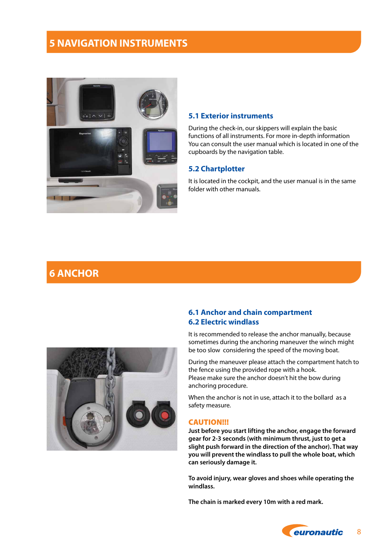## **5 NAVIGATION INSTRUMENTS**



#### **5.1 Exterior instruments**

During the check-in, our skippers will explain the basic functions of all instruments. For more in-depth information You can consult the user manual which is located in one of the cupboards by the navigation table.

#### **5.2 Chartplotter**

It is located in the cockpit, and the user manual is in the same folder with other manuals.

## **6 ANCHOR**



#### **6.1 Anchor and chain compartment 6.2 Electric windlass**

It is recommended to release the anchor manually, because sometimes during the anchoring maneuver the winch might be too slow considering the speed of the moving boat.

During the maneuver please attach the compartment hatch to the fence using the provided rope with a hook. Please make sure the anchor doesn't hit the bow during anchoring procedure.

When the anchor is not in use, attach it to the bollard as a safety measure.

#### CAUTION!!!

**Just before you start lifting the anchor, engage the forward gear for 2-3 seconds (with minimum thrust, just to get a slight push forward in the direction of the anchor). That way you will prevent the windlass to pull the whole boat, which can seriously damage it.** 

**To avoid injury, wear gloves and shoes while operating the windlass.**

**The chain is marked every 10m with a red mark.**

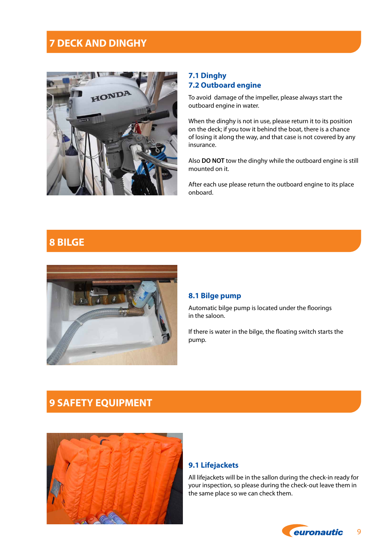## **7 DECK AND DINGHY**



#### **7.1 Dinghy 7.2 Outboard engine**

To avoid damage of the impeller, please always start the outboard engine in water.

When the dinghy is not in use, please return it to its position on the deck; if you tow it behind the boat, there is a chance of losing it along the way, and that case is not covered by any insurance.

Also **DO NOT** tow the dinghy while the outboard engine is still mounted on it.

After each use please return the outboard engine to its place onboard.

## **8 BILGE**



#### **8.1 Bilge pump**

Automatic bilge pump is located under the floorings in the saloon.

If there is water in the bilge, the floating switch starts the pump.

## **9 SAFETY EQUIPMENT**



#### **9.1 Lifejackets**

All lifejackets will be in the sallon during the check-in ready for your inspection, so please during the check-out leave them in the same place so we can check them.